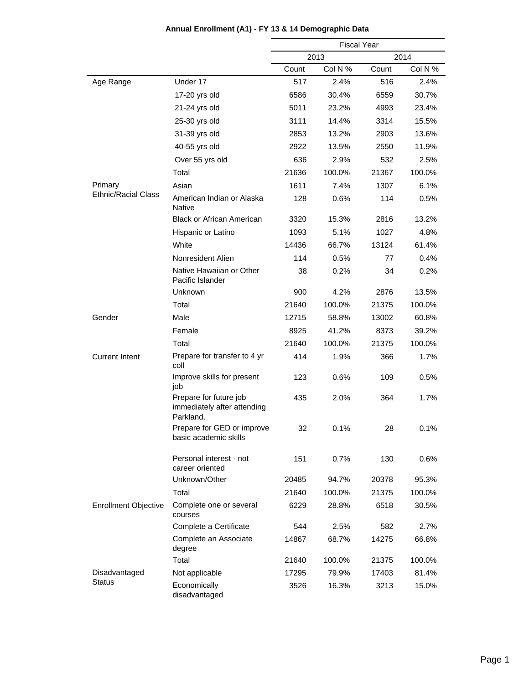|                             |                                                                    | <b>Fiscal Year</b> |         |       |         |
|-----------------------------|--------------------------------------------------------------------|--------------------|---------|-------|---------|
|                             |                                                                    |                    | 2013    |       | 2014    |
|                             |                                                                    | Count              | Col N % | Count | Col N % |
| Age Range                   | Under 17                                                           | 517                | 2.4%    | 516   | 2.4%    |
|                             | 17-20 yrs old                                                      | 6586               | 30.4%   | 6559  | 30.7%   |
|                             | 21-24 yrs old                                                      | 5011               | 23.2%   | 4993  | 23.4%   |
|                             | 25-30 yrs old                                                      | 3111               | 14.4%   | 3314  | 15.5%   |
|                             | 31-39 yrs old                                                      | 2853               | 13.2%   | 2903  | 13.6%   |
|                             | 40-55 yrs old                                                      | 2922               | 13.5%   | 2550  | 11.9%   |
|                             | Over 55 yrs old                                                    | 636                | 2.9%    | 532   | 2.5%    |
|                             | Total                                                              | 21636              | 100.0%  | 21367 | 100.0%  |
| Primary                     | Asian                                                              | 1611               | 7.4%    | 1307  | 6.1%    |
| <b>Ethnic/Racial Class</b>  | American Indian or Alaska<br><b>Native</b>                         | 128                | 0.6%    | 114   | 0.5%    |
|                             | <b>Black or African American</b>                                   | 3320               | 15.3%   | 2816  | 13.2%   |
|                             | Hispanic or Latino                                                 | 1093               | 5.1%    | 1027  | 4.8%    |
|                             | White                                                              | 14436              | 66.7%   | 13124 | 61.4%   |
|                             | Nonresident Alien                                                  | 114                | 0.5%    | 77    | 0.4%    |
|                             | Native Hawaiian or Other<br>Pacific Islander                       | 38                 | 0.2%    | 34    | 0.2%    |
|                             | Unknown                                                            | 900                | 4.2%    | 2876  | 13.5%   |
|                             | Total                                                              | 21640              | 100.0%  | 21375 | 100.0%  |
| Gender                      | Male                                                               | 12715              | 58.8%   | 13002 | 60.8%   |
|                             | Female                                                             | 8925               | 41.2%   | 8373  | 39.2%   |
|                             | Total                                                              | 21640              | 100.0%  | 21375 | 100.0%  |
| <b>Current Intent</b>       | Prepare for transfer to 4 yr<br>coll                               | 414                | 1.9%    | 366   | 1.7%    |
|                             | Improve skills for present<br>job                                  | 123                | 0.6%    | 109   | 0.5%    |
|                             | Prepare for future job<br>immediately after attending<br>Parkland. | 435                | 2.0%    | 364   | 1.7%    |
|                             | Prepare for GED or improve<br>basic academic skills                | 32                 | 0.1%    | 28    | 0.1%    |
|                             | Personal interest - not<br>career oriented                         | 151                | 0.7%    | 130   | 0.6%    |
|                             | Unknown/Other                                                      | 20485              | 94.7%   | 20378 | 95.3%   |
|                             | Total                                                              | 21640              | 100.0%  | 21375 | 100.0%  |
| <b>Enrollment Objective</b> | Complete one or several<br>courses                                 | 6229               | 28.8%   | 6518  | 30.5%   |
|                             | Complete a Certificate                                             | 544                | 2.5%    | 582   | 2.7%    |
|                             | Complete an Associate<br>degree                                    | 14867              | 68.7%   | 14275 | 66.8%   |
|                             | Total                                                              | 21640              | 100.0%  | 21375 | 100.0%  |
| Disadvantaged               | Not applicable                                                     | 17295              | 79.9%   | 17403 | 81.4%   |
| <b>Status</b>               | Economically<br>disadvantaged                                      | 3526               | 16.3%   | 3213  | 15.0%   |

#### **Annual Enrollment (A1) - FY 13 & 14 Demographic Data**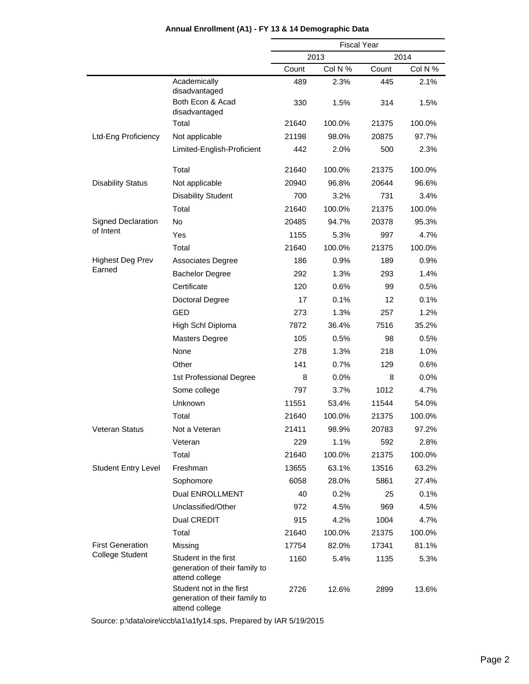|                            |                                                                             | <b>Fiscal Year</b> |         |       |         |  |
|----------------------------|-----------------------------------------------------------------------------|--------------------|---------|-------|---------|--|
|                            |                                                                             |                    | 2013    | 2014  |         |  |
|                            |                                                                             | Count              | Col N % | Count | Col N % |  |
|                            | Academically<br>disadvantaged                                               | 489                | 2.3%    | 445   | 2.1%    |  |
|                            | Both Econ & Acad<br>disadvantaged                                           | 330                | 1.5%    | 314   | 1.5%    |  |
|                            | Total                                                                       | 21640              | 100.0%  | 21375 | 100.0%  |  |
| Ltd-Eng Proficiency        | Not applicable                                                              | 21198              | 98.0%   | 20875 | 97.7%   |  |
|                            | Limited-English-Proficient                                                  | 442                | 2.0%    | 500   | 2.3%    |  |
|                            | Total                                                                       | 21640              | 100.0%  | 21375 | 100.0%  |  |
| <b>Disability Status</b>   | Not applicable                                                              | 20940              | 96.8%   | 20644 | 96.6%   |  |
|                            | <b>Disability Student</b>                                                   | 700                | 3.2%    | 731   | 3.4%    |  |
|                            | Total                                                                       | 21640              | 100.0%  | 21375 | 100.0%  |  |
| Signed Declaration         | <b>No</b>                                                                   | 20485              | 94.7%   | 20378 | 95.3%   |  |
| of Intent                  | Yes                                                                         | 1155               | 5.3%    | 997   | 4.7%    |  |
|                            | Total                                                                       | 21640              | 100.0%  | 21375 | 100.0%  |  |
| <b>Highest Deg Prev</b>    | <b>Associates Degree</b>                                                    | 186                | 0.9%    | 189   | 0.9%    |  |
| Earned                     | <b>Bachelor Degree</b>                                                      | 292                | 1.3%    | 293   | 1.4%    |  |
|                            | Certificate                                                                 | 120                | 0.6%    | 99    | 0.5%    |  |
|                            | Doctoral Degree                                                             | 17                 | 0.1%    | 12    | 0.1%    |  |
|                            | <b>GED</b>                                                                  | 273                | 1.3%    | 257   | 1.2%    |  |
|                            | High Schl Diploma                                                           | 7872               | 36.4%   | 7516  | 35.2%   |  |
|                            | <b>Masters Degree</b>                                                       | 105                | 0.5%    | 98    | 0.5%    |  |
|                            | None                                                                        | 278                | 1.3%    | 218   | 1.0%    |  |
|                            | Other                                                                       | 141                | 0.7%    | 129   | 0.6%    |  |
|                            | 1st Professional Degree                                                     | 8                  | 0.0%    | 8     | 0.0%    |  |
|                            | Some college                                                                | 797                | 3.7%    | 1012  | 4.7%    |  |
|                            | Unknown                                                                     | 11551              | 53.4%   | 11544 | 54.0%   |  |
|                            | Total                                                                       | 21640              | 100.0%  | 21375 | 100.0%  |  |
| Veteran Status             | Not a Veteran                                                               | 21411              | 98.9%   | 20783 | 97.2%   |  |
|                            | Veteran                                                                     | 229                | 1.1%    | 592   | 2.8%    |  |
|                            | Total                                                                       | 21640              | 100.0%  | 21375 | 100.0%  |  |
| <b>Student Entry Level</b> | Freshman                                                                    | 13655              | 63.1%   | 13516 | 63.2%   |  |
|                            | Sophomore                                                                   | 6058               | 28.0%   | 5861  | 27.4%   |  |
|                            | Dual ENROLLMENT                                                             | 40                 | 0.2%    | 25    | 0.1%    |  |
|                            | Unclassified/Other                                                          | 972                | 4.5%    | 969   | 4.5%    |  |
|                            | Dual CREDIT                                                                 | 915                | 4.2%    | 1004  | 4.7%    |  |
|                            | Total                                                                       | 21640              | 100.0%  | 21375 | 100.0%  |  |
| <b>First Generation</b>    | Missing                                                                     | 17754              | 82.0%   | 17341 | 81.1%   |  |
| <b>College Student</b>     | Student in the first<br>generation of their family to<br>attend college     | 1160               | 5.4%    | 1135  | 5.3%    |  |
|                            | Student not in the first<br>generation of their family to<br>attend college | 2726               | 12.6%   | 2899  | 13.6%   |  |

#### **Annual Enrollment (A1) - FY 13 & 14 Demographic Data**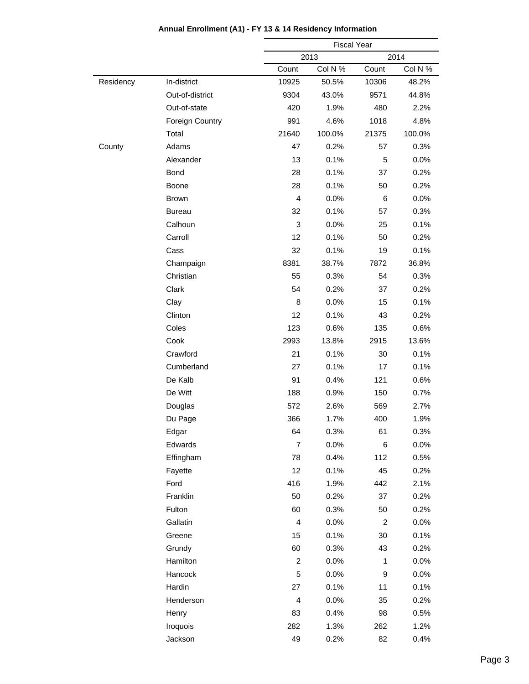|           |                        |                           | <b>Fiscal Year</b> |                |         |
|-----------|------------------------|---------------------------|--------------------|----------------|---------|
|           |                        |                           | 2013<br>2014       |                |         |
|           |                        | Count                     | Col N %            | Count          | Col N % |
| Residency | In-district            | 10925                     | 50.5%              | 10306          | 48.2%   |
|           | Out-of-district        | 9304                      | 43.0%              | 9571           | 44.8%   |
|           | Out-of-state           | 420                       | 1.9%               | 480            | 2.2%    |
|           | <b>Foreign Country</b> | 991                       | 4.6%               | 1018           | 4.8%    |
|           | Total                  | 21640                     | 100.0%             | 21375          | 100.0%  |
| County    | Adams                  | 47                        | 0.2%               | 57             | 0.3%    |
|           | Alexander              | 13                        | 0.1%               | 5              | 0.0%    |
|           | Bond                   | 28                        | 0.1%               | 37             | 0.2%    |
|           | Boone                  | 28                        | 0.1%               | 50             | 0.2%    |
|           | <b>Brown</b>           | $\overline{4}$            | 0.0%               | 6              | 0.0%    |
|           | <b>Bureau</b>          | 32                        | 0.1%               | 57             | 0.3%    |
|           | Calhoun                | $\ensuremath{\mathsf{3}}$ | 0.0%               | 25             | 0.1%    |
|           | Carroll                | 12                        | 0.1%               | 50             | 0.2%    |
|           | Cass                   | 32                        | 0.1%               | 19             | 0.1%    |
|           | Champaign              | 8381                      | 38.7%              | 7872           | 36.8%   |
|           | Christian              | 55                        | 0.3%               | 54             | 0.3%    |
|           | Clark                  | 54                        | 0.2%               | 37             | 0.2%    |
|           | Clay                   | 8                         | 0.0%               | 15             | 0.1%    |
|           | Clinton                | 12                        | 0.1%               | 43             | 0.2%    |
|           | Coles                  | 123                       | 0.6%               | 135            | 0.6%    |
|           | Cook                   | 2993                      | 13.8%              | 2915           | 13.6%   |
|           | Crawford               | 21                        | 0.1%               | 30             | 0.1%    |
|           | Cumberland             | 27                        | 0.1%               | 17             | 0.1%    |
|           | De Kalb                | 91                        | 0.4%               | 121            | 0.6%    |
|           | De Witt                | 188                       | 0.9%               | 150            | 0.7%    |
|           | Douglas                | 572                       | 2.6%               | 569            | 2.7%    |
|           | Du Page                | 366                       | 1.7%               | 400            | 1.9%    |
|           | Edgar                  | 64                        | 0.3%               | 61             | 0.3%    |
|           | Edwards                | $\overline{7}$            | 0.0%               | 6              | 0.0%    |
|           | Effingham              | 78                        | 0.4%               | 112            | 0.5%    |
|           | Fayette                | 12                        | 0.1%               | 45             | 0.2%    |
|           | Ford                   | 416                       | 1.9%               | 442            | 2.1%    |
|           | Franklin               | 50                        | 0.2%               | 37             | 0.2%    |
|           | Fulton                 | 60                        | 0.3%               | 50             | 0.2%    |
|           | Gallatin               | $\overline{\mathbf{4}}$   | 0.0%               | $\overline{c}$ | 0.0%    |
|           | Greene                 | 15                        | 0.1%               | 30             | 0.1%    |
|           | Grundy                 | 60                        | 0.3%               | 43             | 0.2%    |
|           | Hamilton               | $\boldsymbol{2}$          | 0.0%               | $\mathbf{1}$   | 0.0%    |
|           | Hancock                | 5                         | 0.0%               | 9              | 0.0%    |
|           | Hardin                 | 27                        | 0.1%               | 11             | 0.1%    |
|           | Henderson              | $\overline{\mathbf{4}}$   | 0.0%               | 35             | 0.2%    |
|           | Henry                  | 83                        | 0.4%               | 98             | 0.5%    |
|           | Iroquois               | 282                       | 1.3%               | 262            | 1.2%    |
|           | Jackson                | 49                        | 0.2%               | 82             | 0.4%    |
|           |                        |                           |                    |                |         |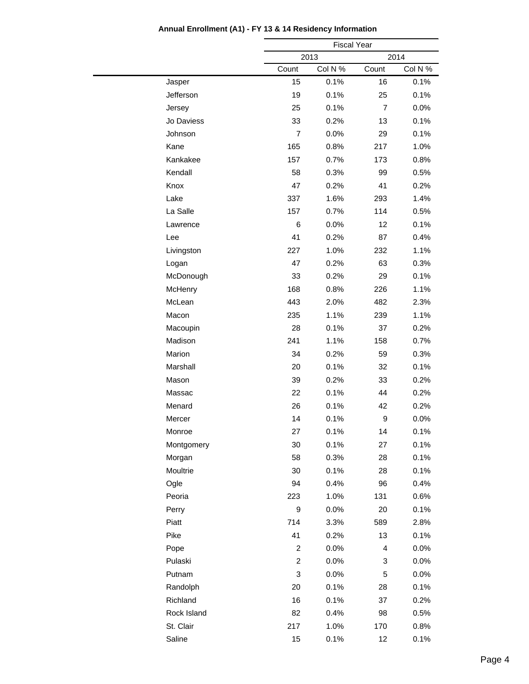|             |                         | <b>Fiscal Year</b> |                |         |  |
|-------------|-------------------------|--------------------|----------------|---------|--|
|             |                         | 2013               | 2014           |         |  |
|             | Count                   | Col N %            | Count          | Col N % |  |
| Jasper      | 15                      | 0.1%               | 16             | 0.1%    |  |
| Jefferson   | 19                      | 0.1%               | 25             | 0.1%    |  |
| Jersey      | 25                      | 0.1%               | $\overline{7}$ | 0.0%    |  |
| Jo Daviess  | 33                      | 0.2%               | 13             | 0.1%    |  |
| Johnson     | $\overline{7}$          | 0.0%               | 29             | 0.1%    |  |
| Kane        | 165                     | 0.8%               | 217            | 1.0%    |  |
| Kankakee    | 157                     | 0.7%               | 173            | 0.8%    |  |
| Kendall     | 58                      | 0.3%               | 99             | 0.5%    |  |
| Knox        | 47                      | 0.2%               | 41             | 0.2%    |  |
| Lake        | 337                     | 1.6%               | 293            | 1.4%    |  |
| La Salle    | 157                     | 0.7%               | 114            | 0.5%    |  |
| Lawrence    | 6                       | 0.0%               | 12             | 0.1%    |  |
| Lee         | 41                      | 0.2%               | 87             | 0.4%    |  |
| Livingston  | 227                     | 1.0%               | 232            | 1.1%    |  |
| Logan       | 47                      | 0.2%               | 63             | 0.3%    |  |
| McDonough   | 33                      | 0.2%               | 29             | 0.1%    |  |
| McHenry     | 168                     | 0.8%               | 226            | 1.1%    |  |
| McLean      | 443                     | 2.0%               | 482            | 2.3%    |  |
| Macon       | 235                     | 1.1%               | 239            | 1.1%    |  |
| Macoupin    | 28                      | 0.1%               | 37             | 0.2%    |  |
| Madison     | 241                     | 1.1%               | 158            | 0.7%    |  |
| Marion      | 34                      | 0.2%               | 59             | 0.3%    |  |
| Marshall    | 20                      | 0.1%               | 32             | 0.1%    |  |
| Mason       | 39                      | 0.2%               | 33             | 0.2%    |  |
| Massac      | 22                      | 0.1%               | 44             | 0.2%    |  |
| Menard      | 26                      | 0.1%               | 42             | 0.2%    |  |
| Mercer      | 14                      | 0.1%               | 9              | 0.0%    |  |
| Monroe      | 27                      | 0.1%               | 14             | 0.1%    |  |
| Montgomery  | 30                      | 0.1%               | 27             | 0.1%    |  |
| Morgan      | 58                      | 0.3%               | 28             | 0.1%    |  |
| Moultrie    | 30                      | 0.1%               | 28             | 0.1%    |  |
| Ogle        | 94                      | 0.4%               | 96             | 0.4%    |  |
| Peoria      | 223                     | 1.0%               | 131            | 0.6%    |  |
| Perry       | 9                       | 0.0%               | 20             | 0.1%    |  |
| Piatt       | 714                     | 3.3%               | 589            | 2.8%    |  |
| Pike        | 41                      | 0.2%               | 13             | 0.1%    |  |
| Pope        | $\overline{c}$          | 0.0%               | 4              | 0.0%    |  |
| Pulaski     | $\overline{\mathbf{c}}$ | 0.0%               | 3              | $0.0\%$ |  |
| Putnam      | 3                       | 0.0%               | 5              | 0.0%    |  |
| Randolph    | 20                      | 0.1%               | 28             | 0.1%    |  |
| Richland    | 16                      | 0.1%               | 37             | 0.2%    |  |
| Rock Island | 82                      | 0.4%               | 98             | 0.5%    |  |
| St. Clair   | 217                     | 1.0%               | 170            | 0.8%    |  |
| Saline      | 15                      | 0.1%               | 12             | 0.1%    |  |
|             |                         |                    |                |         |  |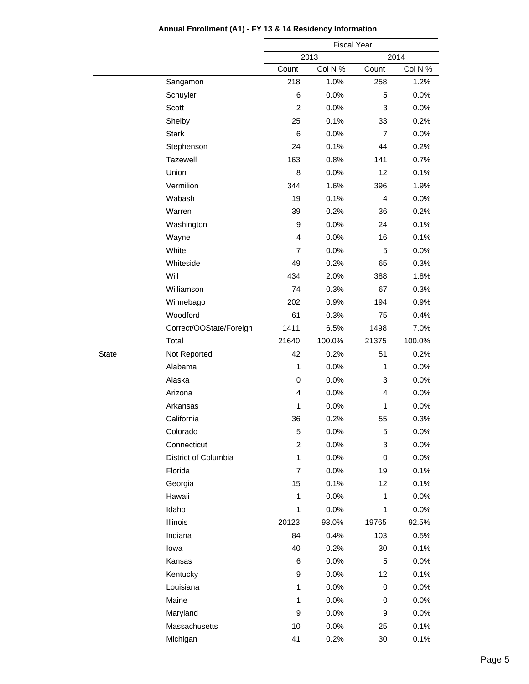|              |                         |                | <b>Fiscal Year</b> |                |         |  |  |
|--------------|-------------------------|----------------|--------------------|----------------|---------|--|--|
|              |                         |                | 2013               |                | 2014    |  |  |
|              |                         | Count          | Col N %            | Count          | Col N % |  |  |
|              | Sangamon                | 218            | 1.0%               | 258            | 1.2%    |  |  |
|              | Schuyler                | 6              | 0.0%               | 5              | 0.0%    |  |  |
|              | Scott                   | $\overline{2}$ | 0.0%               | 3              | 0.0%    |  |  |
|              | Shelby                  | 25             | 0.1%               | 33             | 0.2%    |  |  |
|              | <b>Stark</b>            | 6              | 0.0%               | $\overline{7}$ | 0.0%    |  |  |
|              | Stephenson              | 24             | 0.1%               | 44             | 0.2%    |  |  |
|              | Tazewell                | 163            | 0.8%               | 141            | 0.7%    |  |  |
|              | Union                   | 8              | 0.0%               | 12             | 0.1%    |  |  |
|              | Vermilion               | 344            | 1.6%               | 396            | 1.9%    |  |  |
|              | Wabash                  | 19             | 0.1%               | 4              | 0.0%    |  |  |
|              | Warren                  | 39             | 0.2%               | 36             | 0.2%    |  |  |
|              | Washington              | 9              | 0.0%               | 24             | 0.1%    |  |  |
|              | Wayne                   | $\overline{4}$ | 0.0%               | 16             | 0.1%    |  |  |
|              | White                   | $\overline{7}$ | 0.0%               | 5              | 0.0%    |  |  |
|              | Whiteside               | 49             | 0.2%               | 65             | 0.3%    |  |  |
|              | Will                    | 434            | 2.0%               | 388            | 1.8%    |  |  |
|              | Williamson              | 74             | 0.3%               | 67             | 0.3%    |  |  |
|              | Winnebago               | 202            | 0.9%               | 194            | 0.9%    |  |  |
|              | Woodford                | 61             | 0.3%               | 75             | 0.4%    |  |  |
|              | Correct/OOState/Foreign | 1411           | 6.5%               | 1498           | 7.0%    |  |  |
|              | Total                   | 21640          | 100.0%             | 21375          | 100.0%  |  |  |
| <b>State</b> | Not Reported            | 42             | 0.2%               | 51             | 0.2%    |  |  |
|              | Alabama                 | $\mathbf{1}$   | 0.0%               | 1              | 0.0%    |  |  |
|              | Alaska                  | 0              | 0.0%               | 3              | 0.0%    |  |  |
|              | Arizona                 | $\overline{4}$ | 0.0%               | 4              | 0.0%    |  |  |
|              | Arkansas                | 1              | 0.0%               | 1              | 0.0%    |  |  |
|              | California              | 36             | 0.2%               | 55             | 0.3%    |  |  |
|              | Colorado                | 5              | 0.0%               | 5              | 0.0%    |  |  |
|              | Connecticut             | $\overline{c}$ | 0.0%               | 3              | 0.0%    |  |  |
|              | District of Columbia    | $\mathbf{1}$   | 0.0%               | 0              | 0.0%    |  |  |
|              | Florida                 | $\overline{7}$ | 0.0%               | 19             | 0.1%    |  |  |
|              | Georgia                 | 15             | 0.1%               | 12             | 0.1%    |  |  |
|              | Hawaii                  | $\mathbf{1}$   | 0.0%               | $\mathbf{1}$   | 0.0%    |  |  |
|              | Idaho                   | $\mathbf{1}$   | 0.0%               | 1              | 0.0%    |  |  |
|              | Illinois                | 20123          | 93.0%              | 19765          | 92.5%   |  |  |
|              | Indiana                 | 84             | 0.4%               | 103            | 0.5%    |  |  |
|              | lowa                    | 40             | 0.2%               | 30             | 0.1%    |  |  |
|              | Kansas                  | 6              | 0.0%               | 5              | 0.0%    |  |  |
|              | Kentucky                | 9              | 0.0%               | 12             | 0.1%    |  |  |
|              | Louisiana               | $\mathbf{1}$   | 0.0%               | 0              | 0.0%    |  |  |
|              | Maine                   | 1              | 0.0%               | 0              | 0.0%    |  |  |
|              | Maryland                | 9              | 0.0%               | 9              | 0.0%    |  |  |
|              | Massachusetts           | 10             | 0.0%               | 25             | 0.1%    |  |  |
|              | Michigan                | 41             | 0.2%               | 30             | 0.1%    |  |  |
|              |                         |                |                    |                |         |  |  |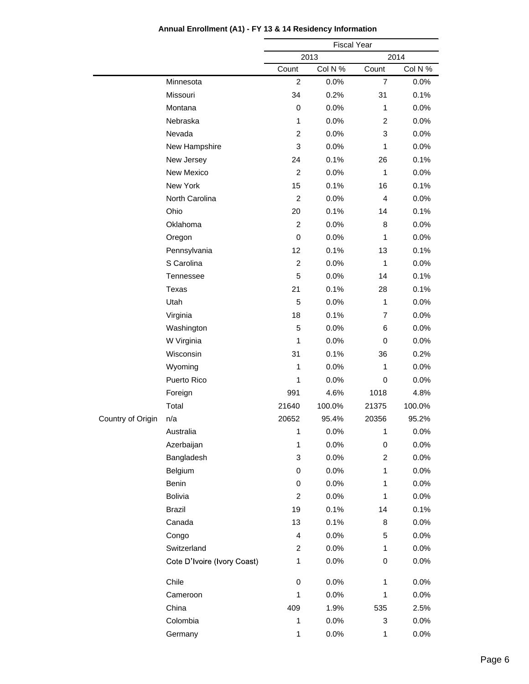|                   |                             | <b>Fiscal Year</b> |         |                |         |
|-------------------|-----------------------------|--------------------|---------|----------------|---------|
|                   |                             |                    | 2013    |                | 2014    |
|                   |                             | Count              | Col N % | Count          | Col N % |
|                   | Minnesota                   | 2                  | 0.0%    | $\overline{7}$ | $0.0\%$ |
|                   | Missouri                    | 34                 | 0.2%    | 31             | 0.1%    |
|                   | Montana                     | $\mathbf 0$        | 0.0%    | $\mathbf{1}$   | 0.0%    |
|                   | Nebraska                    | 1                  | 0.0%    | $\overline{c}$ | 0.0%    |
|                   | Nevada                      | $\overline{c}$     | 0.0%    | 3              | $0.0\%$ |
|                   | New Hampshire               | 3                  | 0.0%    | $\mathbf{1}$   | 0.0%    |
|                   | New Jersey                  | 24                 | 0.1%    | 26             | 0.1%    |
|                   | New Mexico                  | $\overline{2}$     | 0.0%    | $\mathbf{1}$   | 0.0%    |
|                   | New York                    | 15                 | 0.1%    | 16             | 0.1%    |
|                   | North Carolina              | $\overline{c}$     | 0.0%    | 4              | 0.0%    |
|                   | Ohio                        | 20                 | 0.1%    | 14             | 0.1%    |
|                   | Oklahoma                    | $\overline{2}$     | 0.0%    | 8              | 0.0%    |
|                   | Oregon                      | 0                  | 0.0%    | $\mathbf{1}$   | $0.0\%$ |
|                   | Pennsylvania                | 12                 | 0.1%    | 13             | 0.1%    |
|                   | S Carolina                  | $\overline{c}$     | 0.0%    | $\mathbf{1}$   | 0.0%    |
|                   | Tennessee                   | 5                  | 0.0%    | 14             | 0.1%    |
|                   | Texas                       | 21                 | 0.1%    | 28             | 0.1%    |
|                   | Utah                        | 5                  | 0.0%    | $\mathbf{1}$   | 0.0%    |
|                   | Virginia                    | 18                 | 0.1%    | $\overline{7}$ | 0.0%    |
|                   | Washington                  | 5                  | 0.0%    | 6              | 0.0%    |
|                   | W Virginia                  | 1                  | 0.0%    | 0              | $0.0\%$ |
|                   | Wisconsin                   | 31                 | 0.1%    | 36             | 0.2%    |
|                   | Wyoming                     | 1                  | 0.0%    | 1              | 0.0%    |
|                   | Puerto Rico                 | 1                  | 0.0%    | 0              | 0.0%    |
|                   | Foreign                     | 991                | 4.6%    | 1018           | 4.8%    |
|                   | Total                       | 21640              | 100.0%  | 21375          | 100.0%  |
| Country of Origin | n/a                         | 20652              | 95.4%   | 20356          | 95.2%   |
|                   | Australia                   | 1                  | 0.0%    | 1              | 0.0%    |
|                   | Azerbaijan                  | 1                  | 0.0%    | 0              | 0.0%    |
|                   | Bangladesh                  | 3                  | 0.0%    | $\overline{c}$ | 0.0%    |
|                   | Belgium                     | $\pmb{0}$          | 0.0%    | $\mathbf{1}$   | 0.0%    |
|                   | Benin                       | 0                  | 0.0%    | 1              | 0.0%    |
|                   | <b>Bolivia</b>              | $\overline{c}$     | 0.0%    | $\mathbf{1}$   | 0.0%    |
|                   | <b>Brazil</b>               | 19                 | 0.1%    | 14             | 0.1%    |
|                   | Canada                      | 13                 | 0.1%    | 8              | 0.0%    |
|                   | Congo                       | 4                  | 0.0%    | 5              | 0.0%    |
|                   | Switzerland                 | $\overline{c}$     | 0.0%    | $\mathbf{1}$   | 0.0%    |
|                   | Cote D'Ivoire (Ivory Coast) | 1                  | 0.0%    | 0              | 0.0%    |
|                   | Chile                       | $\mathbf 0$        | 0.0%    | 1              | 0.0%    |
|                   | Cameroon                    | $\mathbf{1}$       | 0.0%    | $\mathbf{1}$   | 0.0%    |
|                   | China                       | 409                | 1.9%    | 535            | 2.5%    |
|                   | Colombia                    | 1                  | 0.0%    | 3              | 0.0%    |
|                   | Germany                     | $\mathbf{1}$       | 0.0%    | $\mathbf{1}$   | 0.0%    |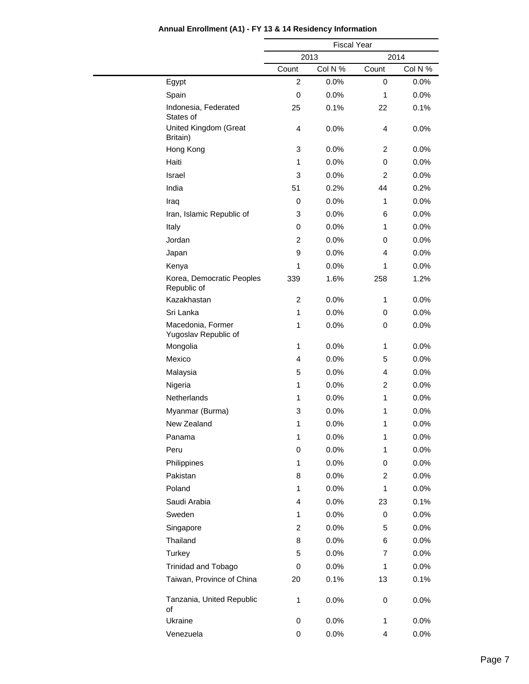|                                           |                         | <b>Fiscal Year</b> |                         |         |  |  |
|-------------------------------------------|-------------------------|--------------------|-------------------------|---------|--|--|
|                                           |                         | 2013               |                         | 2014    |  |  |
|                                           | Count                   | Col N %            | Count                   | Col N % |  |  |
| Egypt                                     | 2                       | 0.0%               | 0                       | 0.0%    |  |  |
| Spain                                     | 0                       | 0.0%               | 1                       | 0.0%    |  |  |
| Indonesia, Federated<br>States of         | 25                      | 0.1%               | 22                      | 0.1%    |  |  |
| United Kingdom (Great<br>Britain)         | 4                       | 0.0%               | 4                       | 0.0%    |  |  |
| Hong Kong                                 | 3                       | 0.0%               | 2                       | 0.0%    |  |  |
| Haiti                                     | 1                       | 0.0%               | 0                       | 0.0%    |  |  |
| Israel                                    | 3                       | 0.0%               | 2                       | 0.0%    |  |  |
| India                                     | 51                      | 0.2%               | 44                      | 0.2%    |  |  |
| Iraq                                      | 0                       | 0.0%               | $\mathbf{1}$            | 0.0%    |  |  |
| Iran, Islamic Republic of                 | 3                       | 0.0%               | 6                       | 0.0%    |  |  |
| Italy                                     | 0                       | 0.0%               | 1                       | 0.0%    |  |  |
| Jordan                                    | 2                       | 0.0%               | 0                       | 0.0%    |  |  |
| Japan                                     | $\boldsymbol{9}$        | 0.0%               | 4                       | 0.0%    |  |  |
| Kenya                                     | 1                       | 0.0%               | 1                       | 0.0%    |  |  |
| Korea, Democratic Peoples<br>Republic of  | 339                     | 1.6%               | 258                     | 1.2%    |  |  |
| Kazakhastan                               | $\overline{c}$          | 0.0%               | $\mathbf{1}$            | 0.0%    |  |  |
| Sri Lanka                                 | $\mathbf{1}$            | 0.0%               | 0                       | 0.0%    |  |  |
| Macedonia, Former<br>Yugoslav Republic of | $\mathbf{1}$            | 0.0%               | 0                       | 0.0%    |  |  |
| Mongolia                                  | $\mathbf{1}$            | 0.0%               | 1                       | 0.0%    |  |  |
| Mexico                                    | 4                       | 0.0%               | 5                       | 0.0%    |  |  |
| Malaysia                                  | 5                       | 0.0%               | 4                       | 0.0%    |  |  |
| Nigeria                                   | $\mathbf{1}$            | 0.0%               | 2                       | 0.0%    |  |  |
| Netherlands                               | 1                       | 0.0%               | $\mathbf{1}$            | 0.0%    |  |  |
| Myanmar (Burma)                           | 3                       | 0.0%               | 1                       | 0.0%    |  |  |
| New Zealand                               | 1                       | 0.0%               | 1                       | 0.0%    |  |  |
| Panama                                    | 1                       | 0.0%               | 1                       | 0.0%    |  |  |
| Peru                                      | 0                       | 0.0%               | 1                       | 0.0%    |  |  |
| Philippines                               | $\mathbf{1}$            | 0.0%               | 0                       | $0.0\%$ |  |  |
| Pakistan                                  | 8                       | 0.0%               | $\overline{\mathbf{c}}$ | 0.0%    |  |  |
| Poland                                    | 1                       | 0.0%               | 1                       | 0.0%    |  |  |
| Saudi Arabia                              | 4                       | 0.0%               | 23                      | 0.1%    |  |  |
| Sweden                                    | 1                       | 0.0%               | 0                       | $0.0\%$ |  |  |
| Singapore                                 | $\overline{\mathbf{c}}$ | 0.0%               | 5                       | 0.0%    |  |  |
| Thailand                                  | 8                       | 0.0%               | 6                       | $0.0\%$ |  |  |
| Turkey                                    | 5                       | 0.0%               | 7                       | 0.0%    |  |  |
| <b>Trinidad and Tobago</b>                | 0                       | 0.0%               | 1                       | 0.0%    |  |  |
| Taiwan, Province of China                 | 20                      | 0.1%               | 13                      | 0.1%    |  |  |
| Tanzania, United Republic<br>of           | $\mathbf{1}$            | 0.0%               | 0                       | 0.0%    |  |  |
| Ukraine                                   | 0                       | 0.0%               | 1                       | 0.0%    |  |  |
| Venezuela                                 | 0                       | 0.0%               | 4                       | 0.0%    |  |  |
|                                           |                         |                    |                         |         |  |  |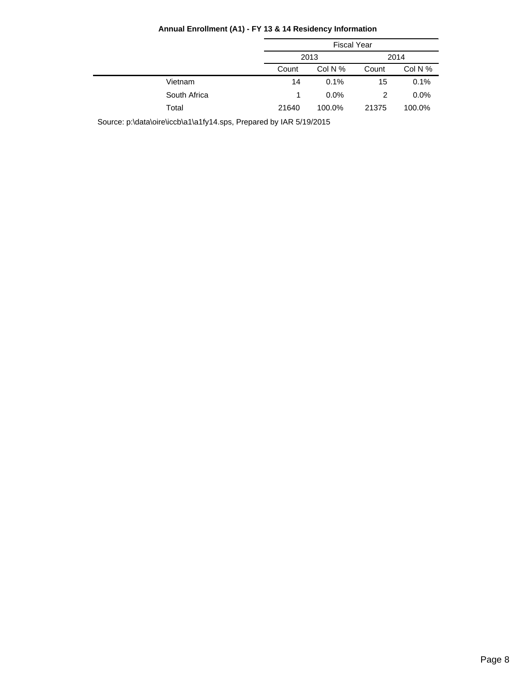|              | <b>Fiscal Year</b> |           |       |         |
|--------------|--------------------|-----------|-------|---------|
|              | 2013               |           |       | 2014    |
|              | Count              | Col N $%$ | Count | Col N % |
| Vietnam      | 14                 | 0.1%      | 15    | 0.1%    |
| South Africa |                    | $0.0\%$   | 2     | $0.0\%$ |
| Total        | 21640              | 100.0%    | 21375 | 100.0%  |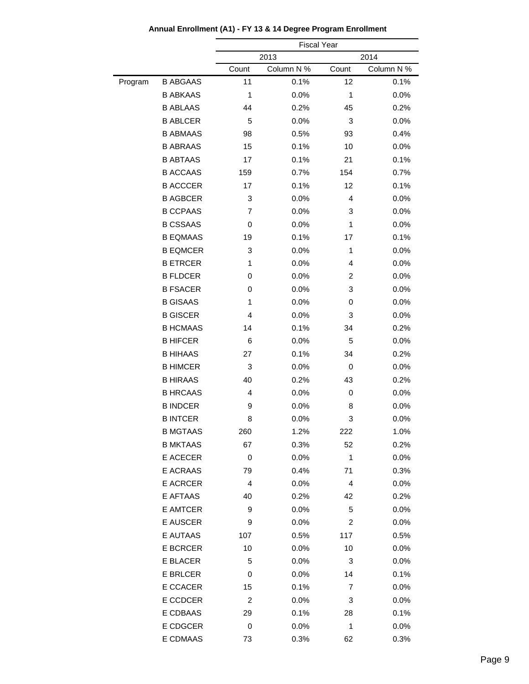|         |                 |                         | <b>Fiscal Year</b> |       |            |
|---------|-----------------|-------------------------|--------------------|-------|------------|
|         |                 | 2014<br>2013            |                    |       |            |
|         |                 | Count                   | Column N %         | Count | Column N % |
| Program | <b>B ABGAAS</b> | 11                      | 0.1%               | 12    | 0.1%       |
|         | <b>B ABKAAS</b> | 1                       | 0.0%               | 1     | 0.0%       |
|         | <b>B ABLAAS</b> | 44                      | 0.2%               | 45    | 0.2%       |
|         | <b>B ABLCER</b> | 5                       | 0.0%               | 3     | 0.0%       |
|         | <b>B ABMAAS</b> | 98                      | 0.5%               | 93    | 0.4%       |
|         | <b>B ABRAAS</b> | 15                      | 0.1%               | 10    | 0.0%       |
|         | <b>B ABTAAS</b> | 17                      | 0.1%               | 21    | 0.1%       |
|         | <b>B ACCAAS</b> | 159                     | 0.7%               | 154   | 0.7%       |
|         | <b>B ACCCER</b> | 17                      | 0.1%               | 12    | 0.1%       |
|         | <b>B AGBCER</b> | 3                       | 0.0%               | 4     | 0.0%       |
|         | <b>B CCPAAS</b> | 7                       | 0.0%               | 3     | 0.0%       |
|         | <b>B CSSAAS</b> | 0                       | 0.0%               | 1     | 0.0%       |
|         | <b>B EQMAAS</b> | 19                      | 0.1%               | 17    | 0.1%       |
|         | <b>B EQMCER</b> | 3                       | 0.0%               | 1     | 0.0%       |
|         | <b>B ETRCER</b> | 1                       | 0.0%               | 4     | 0.0%       |
|         | <b>B FLDCER</b> | 0                       | 0.0%               | 2     | 0.0%       |
|         | <b>B FSACER</b> | 0                       | 0.0%               | 3     | 0.0%       |
|         | <b>B GISAAS</b> | 1                       | 0.0%               | 0     | 0.0%       |
|         | <b>B GISCER</b> | 4                       | 0.0%               | 3     | 0.0%       |
|         | <b>B HCMAAS</b> | 14                      | 0.1%               | 34    | 0.2%       |
|         | <b>B HIFCER</b> | 6                       | 0.0%               | 5     | 0.0%       |
|         | <b>B HIHAAS</b> | 27                      | 0.1%               | 34    | 0.2%       |
|         | <b>B HIMCER</b> | 3                       | 0.0%               | 0     | 0.0%       |
|         | <b>B HIRAAS</b> | 40                      | 0.2%               | 43    | 0.2%       |
|         | <b>B HRCAAS</b> | 4                       | 0.0%               | 0     | 0.0%       |
|         | <b>B INDCER</b> | 9                       | 0.0%               | 8     | 0.0%       |
|         | <b>B INTCER</b> | 8                       | 0.0%               | 3     | 0.0%       |
|         | <b>B MGTAAS</b> | 260                     | 1.2%               | 222   | $1.0\%$    |
|         | <b>B MKTAAS</b> | 67                      | 0.3%               | 52    | 0.2%       |
|         | E ACECER        | $\boldsymbol{0}$        | 0.0%               | 1     | 0.0%       |
|         | E ACRAAS        | 79                      | 0.4%               | 71    | 0.3%       |
|         | <b>E ACRCER</b> | 4                       | 0.0%               | 4     | 0.0%       |
|         | E AFTAAS        | 40                      | 0.2%               | 42    | 0.2%       |
|         | E AMTCER        | 9                       | 0.0%               | 5     | 0.0%       |
|         | E AUSCER        | 9                       | 0.0%               | 2     | 0.0%       |
|         | E AUTAAS        | 107                     | 0.5%               | 117   | 0.5%       |
|         | <b>E BCRCER</b> | 10                      | 0.0%               | 10    | 0.0%       |
|         | E BLACER        | 5                       | 0.0%               | 3     | 0.0%       |
|         | E BRLCER        | 0                       | 0.0%               | 14    | 0.1%       |
|         | E CCACER        | 15                      | 0.1%               | 7     | 0.0%       |
|         | E CCDCER        | $\overline{\mathbf{c}}$ | 0.0%               | 3     | 0.0%       |
|         | E CDBAAS        | 29                      | 0.1%               | 28    | 0.1%       |
|         | E CDGCER        | $\boldsymbol{0}$        | 0.0%               | 1     | 0.0%       |
|         | E CDMAAS        | 73                      | 0.3%               | 62    | 0.3%       |
|         |                 |                         |                    |       |            |

**Annual Enrollment (A1) - FY 13 & 14 Degree Program Enrollment**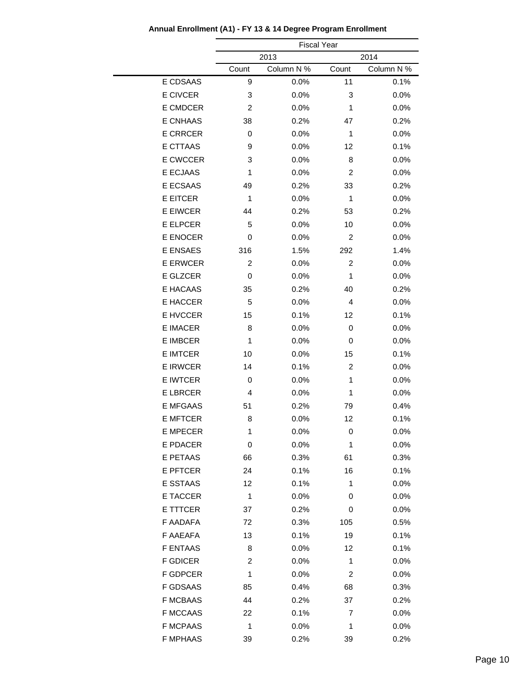|                 | <b>Fiscal Year</b> |            |                |            |  |
|-----------------|--------------------|------------|----------------|------------|--|
|                 |                    | 2013       |                | 2014       |  |
|                 | Count              | Column N % | Count          | Column N % |  |
| E CDSAAS        | 9                  | 0.0%       | 11             | 0.1%       |  |
| <b>E CIVCER</b> | 3                  | 0.0%       | 3              | 0.0%       |  |
| <b>E CMDCER</b> | $\overline{c}$     | 0.0%       | 1              | 0.0%       |  |
| <b>E CNHAAS</b> | 38                 | 0.2%       | 47             | 0.2%       |  |
| <b>E CRRCER</b> | 0                  | 0.0%       | 1              | 0.0%       |  |
| <b>E CTTAAS</b> | 9                  | 0.0%       | 12             | 0.1%       |  |
| <b>E CWCCER</b> | 3                  | 0.0%       | 8              | 0.0%       |  |
| <b>E ECJAAS</b> | 1                  | 0.0%       | 2              | 0.0%       |  |
| E ECSAAS        | 49                 | 0.2%       | 33             | 0.2%       |  |
| <b>E EITCER</b> | 1                  | 0.0%       | 1              | 0.0%       |  |
| <b>E EIWCER</b> | 44                 | 0.2%       | 53             | 0.2%       |  |
| E ELPCER        | 5                  | 0.0%       | 10             | 0.0%       |  |
| <b>E ENOCER</b> | 0                  | 0.0%       | $\overline{c}$ | 0.0%       |  |
| <b>E ENSAES</b> | 316                | 1.5%       | 292            | 1.4%       |  |
| <b>E ERWCER</b> | $\overline{c}$     | 0.0%       | $\overline{c}$ | 0.0%       |  |
| E GLZCER        | 0                  | 0.0%       | 1              | 0.0%       |  |
| E HACAAS        | 35                 | 0.2%       | 40             | 0.2%       |  |
| E HACCER        | 5                  | 0.0%       | 4              | 0.0%       |  |
| E HVCCER        | 15                 | 0.1%       | 12             | 0.1%       |  |
| <b>E IMACER</b> | 8                  | 0.0%       | 0              | 0.0%       |  |
| <b>E IMBCER</b> | 1                  | 0.0%       | 0              | 0.0%       |  |
| <b>E IMTCER</b> | 10                 | 0.0%       | 15             | 0.1%       |  |
| <b>E IRWCER</b> | 14                 | 0.1%       | $\overline{c}$ | 0.0%       |  |
| <b>E IWTCER</b> | 0                  | 0.0%       | 1              | 0.0%       |  |
| <b>E LBRCER</b> | 4                  | 0.0%       | 1              | 0.0%       |  |
| <b>E MFGAAS</b> | 51                 | 0.2%       | 79             | 0.4%       |  |
| <b>E MFTCER</b> | 8                  | 0.0%       | 12             | 0.1%       |  |
| E MPECER        | 1                  | $0.0\%$    | 0              | $0.0\%$    |  |
| <b>E PDACER</b> | 0                  | 0.0%       | 1              | 0.0%       |  |
| E PETAAS        | 66                 | 0.3%       | 61             | 0.3%       |  |
| <b>E PFTCER</b> | 24                 | 0.1%       | 16             | 0.1%       |  |
| E SSTAAS        | 12                 | 0.1%       | 1              | 0.0%       |  |
| <b>E TACCER</b> | $\mathbf{1}$       | 0.0%       | 0              | 0.0%       |  |
| E TTTCER        | 37                 | 0.2%       | 0              | 0.0%       |  |
| F AADAFA        | 72                 | 0.3%       | 105            | 0.5%       |  |
| F AAEAFA        | 13                 | 0.1%       | 19             | 0.1%       |  |
| <b>F ENTAAS</b> | 8                  | 0.0%       | 12             | 0.1%       |  |
| <b>F GDICER</b> | 2                  | 0.0%       | 1              | 0.0%       |  |
| <b>F GDPCER</b> | 1                  | 0.0%       | 2              | 0.0%       |  |
| F GDSAAS        | 85                 | 0.4%       | 68             | 0.3%       |  |
| <b>F MCBAAS</b> | 44                 | 0.2%       | 37             | 0.2%       |  |
| <b>F MCCAAS</b> | 22                 | 0.1%       | 7              | 0.0%       |  |
| <b>F MCPAAS</b> | 1                  | 0.0%       | 1              | 0.0%       |  |
| <b>F MPHAAS</b> | 39                 | 0.2%       | 39             | 0.2%       |  |

**Annual Enrollment (A1) - FY 13 & 14 Degree Program Enrollment**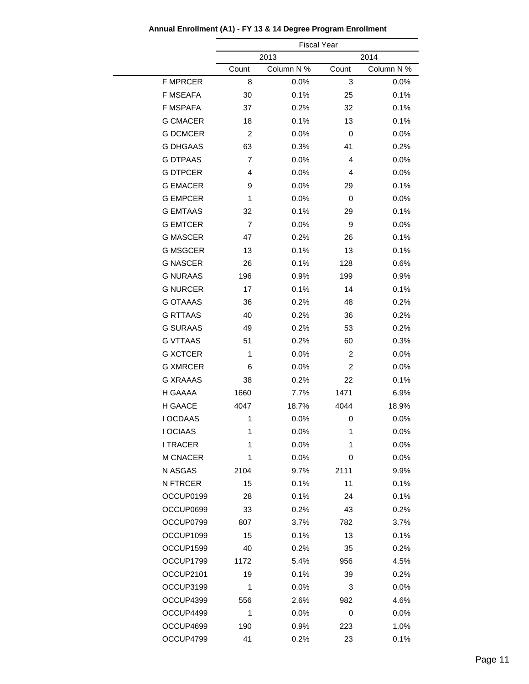|                 | <b>Fiscal Year</b> |            |                |            |  |
|-----------------|--------------------|------------|----------------|------------|--|
|                 | 2013               |            |                | 2014       |  |
|                 | Count              | Column N % | Count          | Column N % |  |
| <b>F MPRCER</b> | 8                  | 0.0%       | 3              | 0.0%       |  |
| F MSEAFA        | 30                 | 0.1%       | 25             | 0.1%       |  |
| F MSPAFA        | 37                 | 0.2%       | 32             | 0.1%       |  |
| <b>G CMACER</b> | 18                 | 0.1%       | 13             | 0.1%       |  |
| <b>G DCMCER</b> | $\overline{c}$     | 0.0%       | 0              | 0.0%       |  |
| <b>G DHGAAS</b> | 63                 | 0.3%       | 41             | 0.2%       |  |
| <b>G DTPAAS</b> | $\overline{7}$     | 0.0%       | 4              | 0.0%       |  |
| <b>G DTPCER</b> | 4                  | 0.0%       | 4              | 0.0%       |  |
| <b>G EMACER</b> | 9                  | 0.0%       | 29             | 0.1%       |  |
| <b>G EMPCER</b> | 1                  | 0.0%       | 0              | 0.0%       |  |
| <b>G EMTAAS</b> | 32                 | 0.1%       | 29             | 0.1%       |  |
| <b>G EMTCER</b> | $\overline{7}$     | 0.0%       | 9              | 0.0%       |  |
| <b>G MASCER</b> | 47                 | 0.2%       | 26             | 0.1%       |  |
| <b>G MSGCER</b> | 13                 | 0.1%       | 13             | 0.1%       |  |
| <b>G NASCER</b> | 26                 | 0.1%       | 128            | 0.6%       |  |
| <b>G NURAAS</b> | 196                | 0.9%       | 199            | 0.9%       |  |
| <b>G NURCER</b> | 17                 | 0.1%       | 14             | 0.1%       |  |
| <b>G OTAAAS</b> | 36                 | 0.2%       | 48             | 0.2%       |  |
| <b>G RTTAAS</b> | 40                 | 0.2%       | 36             | 0.2%       |  |
| <b>G SURAAS</b> | 49                 | 0.2%       | 53             | 0.2%       |  |
| <b>G VTTAAS</b> | 51                 | 0.2%       | 60             | 0.3%       |  |
| <b>G XCTCER</b> | 1                  | 0.0%       | $\overline{c}$ | 0.0%       |  |
| <b>G XMRCER</b> | 6                  | 0.0%       | $\overline{2}$ | 0.0%       |  |
| <b>G XRAAAS</b> | 38                 | 0.2%       | 22             | 0.1%       |  |
| H GAAAA         | 1660               | 7.7%       | 1471           | 6.9%       |  |
| H GAACE         | 4047               | 18.7%      | 4044           | 18.9%      |  |
| I OCDAAS        | 1                  | 0.0%       | 0              | 0.0%       |  |
| I OCIAAS        | 1                  | $0.0\%$    | 1              | $0.0\%$    |  |
| <b>I TRACER</b> | 1                  | 0.0%       | 1              | 0.0%       |  |
| M CNACER        | 1                  | 0.0%       | 0              | 0.0%       |  |
| N ASGAS         | 2104               | 9.7%       | 2111           | 9.9%       |  |
| N FTRCER        | 15                 | 0.1%       | 11             | 0.1%       |  |
| OCCUP0199       | 28                 | 0.1%       | 24             | 0.1%       |  |
| OCCUP0699       | 33                 | 0.2%       | 43             | 0.2%       |  |
| OCCUP0799       | 807                | 3.7%       | 782            | 3.7%       |  |
| OCCUP1099       | 15                 | 0.1%       | 13             | 0.1%       |  |
| OCCUP1599       | 40                 | 0.2%       | 35             | 0.2%       |  |
| OCCUP1799       | 1172               | 5.4%       | 956            | 4.5%       |  |
| OCCUP2101       | 19                 | 0.1%       | 39             | 0.2%       |  |
| OCCUP3199       | 1                  | 0.0%       | 3              | 0.0%       |  |
| OCCUP4399       | 556                | 2.6%       | 982            | 4.6%       |  |
| OCCUP4499       | 1                  | $0.0\%$    | 0              | 0.0%       |  |
| OCCUP4699       | 190                | 0.9%       | 223            | 1.0%       |  |
| OCCUP4799       | 41                 | 0.2%       | 23             | 0.1%       |  |

### **Annual Enrollment (A1) - FY 13 & 14 Degree Program Enrollment**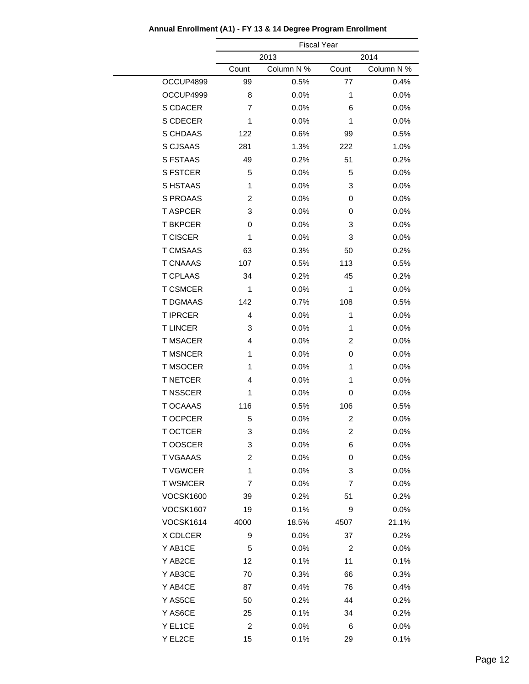|                  |                | <b>Fiscal Year</b> |       |            |
|------------------|----------------|--------------------|-------|------------|
|                  |                | 2013<br>2014       |       |            |
|                  | Count          | Column N %         | Count | Column N % |
| OCCUP4899        | 99             | 0.5%               | 77    | 0.4%       |
| OCCUP4999        | 8              | 0.0%               | 1     | 0.0%       |
| S CDACER         | $\overline{7}$ | 0.0%               | 6     | 0.0%       |
| S CDECER         | 1              | 0.0%               | 1     | 0.0%       |
| S CHDAAS         | 122            | 0.6%               | 99    | 0.5%       |
| S CJSAAS         | 281            | 1.3%               | 222   | 1.0%       |
| <b>S FSTAAS</b>  | 49             | 0.2%               | 51    | 0.2%       |
| <b>S FSTCER</b>  | 5              | 0.0%               | 5     | 0.0%       |
| S HSTAAS         | 1              | 0.0%               | 3     | 0.0%       |
| S PROAAS         | $\overline{2}$ | 0.0%               | 0     | 0.0%       |
| <b>T ASPCER</b>  | 3              | 0.0%               | 0     | 0.0%       |
| <b>T BKPCER</b>  | 0              | 0.0%               | 3     | 0.0%       |
| <b>T CISCER</b>  | 1              | 0.0%               | 3     | 0.0%       |
| <b>T CMSAAS</b>  | 63             | 0.3%               | 50    | 0.2%       |
| <b>T CNAAAS</b>  | 107            | 0.5%               | 113   | 0.5%       |
| <b>T CPLAAS</b>  | 34             | 0.2%               | 45    | 0.2%       |
| <b>T CSMCER</b>  | 1              | 0.0%               | 1     | 0.0%       |
| <b>T DGMAAS</b>  | 142            | 0.7%               | 108   | 0.5%       |
| <b>T IPRCER</b>  | 4              | 0.0%               | 1     | 0.0%       |
| <b>TLINCER</b>   | 3              | 0.0%               | 1     | 0.0%       |
| <b>T MSACER</b>  | $\overline{4}$ | 0.0%               | 2     | 0.0%       |
| <b>T MSNCER</b>  | 1              | 0.0%               | 0     | 0.0%       |
| <b>T MSOCER</b>  | 1              | 0.0%               | 1     | 0.0%       |
| <b>T NETCER</b>  | 4              | 0.0%               | 1     | 0.0%       |
| <b>T NSSCER</b>  | 1              | 0.0%               | 0     | 0.0%       |
| <b>T OCAAAS</b>  | 116            | 0.5%               | 106   | 0.5%       |
| <b>TOCPCER</b>   | 5              | 0.0%               | 2     | 0.0%       |
| T OCTCER         | 3              | $0.0\%$            | 2     | $0.0\%$    |
| T OOSCER         | 3              | 0.0%               | 6     | 0.0%       |
| <b>T VGAAAS</b>  | $\overline{c}$ | 0.0%               | 0     | 0.0%       |
| <b>TVGWCER</b>   | 1              | 0.0%               | 3     | 0.0%       |
| <b>T WSMCER</b>  | $\overline{7}$ | 0.0%               | 7     | 0.0%       |
| <b>VOCSK1600</b> | 39             | 0.2%               | 51    | 0.2%       |
| <b>VOCSK1607</b> | 19             | 0.1%               | 9     | 0.0%       |
| <b>VOCSK1614</b> | 4000           | 18.5%              | 4507  | 21.1%      |
| X CDLCER         | 9              | 0.0%               | 37    | 0.2%       |
| Y AB1CE          | 5              | 0.0%               | 2     | 0.0%       |
| Y AB2CE          | 12             | 0.1%               | 11    | 0.1%       |
| Y AB3CE          | 70             | 0.3%               | 66    | 0.3%       |
| Y AB4CE          | 87             | 0.4%               | 76    | 0.4%       |
| Y AS5CE          | 50             | 0.2%               | 44    | 0.2%       |
| Y AS6CE          | 25             | 0.1%               | 34    | 0.2%       |
| Y EL1CE          | $\overline{c}$ | 0.0%               | 6     | 0.0%       |
| Y EL2CE          | 15             | 0.1%               | 29    | 0.1%       |
|                  |                |                    |       |            |

### **Annual Enrollment (A1) - FY 13 & 14 Degree Program Enrollment**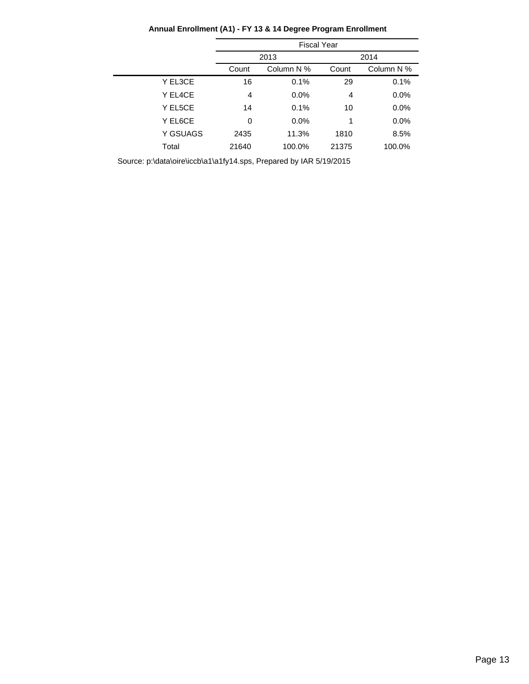|          | <b>Fiscal Year</b> |            |       |            |
|----------|--------------------|------------|-------|------------|
|          | 2013               |            |       | 2014       |
|          | Count              | Column N % | Count | Column N % |
| Y EL3CE  | 16                 | 0.1%       | 29    | 0.1%       |
| Y EL4CE  | 4                  | 0.0%       | 4     | 0.0%       |
| Y EL5CE  | 14                 | 0.1%       | 10    | 0.0%       |
| Y EL6CE  | 0                  | $0.0\%$    | 1     | 0.0%       |
| Y GSUAGS | 2435               | 11.3%      | 1810  | 8.5%       |
| Total    | 21640              | 100.0%     | 21375 | 100.0%     |

### **Annual Enrollment (A1) - FY 13 & 14 Degree Program Enrollment**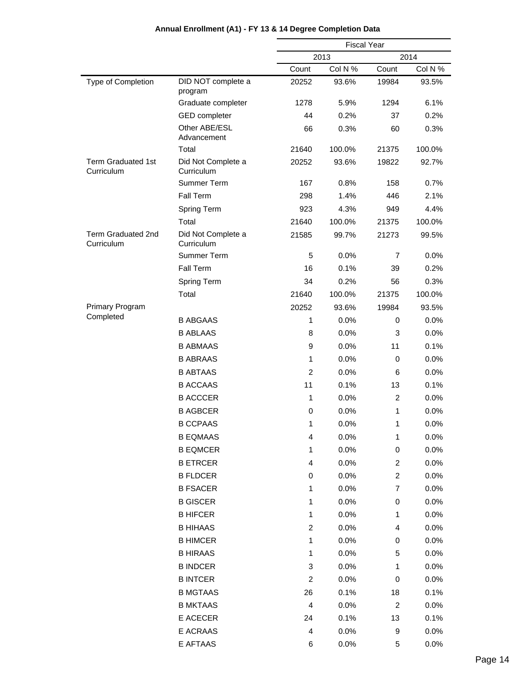|                                         |                                    | <b>Fiscal Year</b>                                                                                                                                                                                                         |                                                                                                                                                                                                                                          |                |         |
|-----------------------------------------|------------------------------------|----------------------------------------------------------------------------------------------------------------------------------------------------------------------------------------------------------------------------|------------------------------------------------------------------------------------------------------------------------------------------------------------------------------------------------------------------------------------------|----------------|---------|
|                                         |                                    | 2013                                                                                                                                                                                                                       |                                                                                                                                                                                                                                          | 2014           |         |
|                                         |                                    | Count                                                                                                                                                                                                                      | Col N %                                                                                                                                                                                                                                  | Count          | Col N % |
| Type of Completion                      | DID NOT complete a<br>program      | 20252                                                                                                                                                                                                                      | 93.6%                                                                                                                                                                                                                                    | 19984          | 93.5%   |
|                                         | Graduate completer                 | 1278                                                                                                                                                                                                                       | 5.9%                                                                                                                                                                                                                                     | 1294           | 6.1%    |
|                                         | <b>GED</b> completer               | 44                                                                                                                                                                                                                         | 0.2%                                                                                                                                                                                                                                     | 37             | 0.2%    |
|                                         | Other ABE/ESL<br>Advancement       | 66                                                                                                                                                                                                                         | 0.3%                                                                                                                                                                                                                                     | 60             | 0.3%    |
|                                         | Total                              | 21640                                                                                                                                                                                                                      | 100.0%                                                                                                                                                                                                                                   | 21375          | 100.0%  |
| <b>Term Graduated 1st</b><br>Curriculum | Did Not Complete a<br>Curriculum   | 20252                                                                                                                                                                                                                      | 93.6%                                                                                                                                                                                                                                    | 19822          | 92.7%   |
|                                         | Summer Term                        | 167                                                                                                                                                                                                                        | 0.8%                                                                                                                                                                                                                                     | 158            | 0.7%    |
|                                         | Fall Term                          | 298                                                                                                                                                                                                                        | 1.4%                                                                                                                                                                                                                                     | 446            | 2.1%    |
|                                         | Spring Term                        | 923                                                                                                                                                                                                                        | 4.3%                                                                                                                                                                                                                                     | 949            | 4.4%    |
|                                         | Total                              | 21640                                                                                                                                                                                                                      | 100.0%                                                                                                                                                                                                                                   | 21375          | 100.0%  |
| Term Graduated 2nd<br>Curriculum        | Did Not Complete a<br>Curriculum   | 21585                                                                                                                                                                                                                      | 99.7%                                                                                                                                                                                                                                    | 21273          | 99.5%   |
|                                         | Summer Term                        | 5<br>0.0%<br>16<br>0.1%<br>0.2%<br>34<br>21640<br>100.0%<br>20252<br>93.6%<br>0.0%<br>1<br>0.0%<br>8<br>9<br>0.0%<br>0.0%<br>1<br>$\overline{c}$<br>0.0%<br>11<br>0.1%<br>0.0%<br>1<br>0.0%<br>0<br>1<br>0.0%<br>0.0%<br>4 | 7                                                                                                                                                                                                                                        | 0.0%           |         |
|                                         | Fall Term                          |                                                                                                                                                                                                                            |                                                                                                                                                                                                                                          | 39             | 0.2%    |
|                                         | Spring Term                        |                                                                                                                                                                                                                            |                                                                                                                                                                                                                                          | 56             | 0.3%    |
|                                         | Total                              |                                                                                                                                                                                                                            |                                                                                                                                                                                                                                          | 21375          | 100.0%  |
| Primary Program                         |                                    |                                                                                                                                                                                                                            |                                                                                                                                                                                                                                          | 19984          | 93.5%   |
| Completed                               | <b>B ABGAAS</b>                    |                                                                                                                                                                                                                            | 0.0%<br>1<br>4<br>0.0%<br>0<br>0.0%<br>1<br>0.0%<br>1<br>0.0%<br>1<br>0.0%<br>$\overline{c}$<br>0.0%<br>1<br>0.0%<br>1<br>0.0%<br>3<br>0.0%<br>$\overline{c}$<br>0.0%<br>0.1%<br>26<br>4<br>0.0%<br>24<br>0.1%<br>4<br>0.0%<br>6<br>0.0% | 0              | 0.0%    |
|                                         | <b>B ABLAAS</b>                    |                                                                                                                                                                                                                            |                                                                                                                                                                                                                                          | 3              | 0.0%    |
|                                         | <b>B ABMAAS</b>                    |                                                                                                                                                                                                                            |                                                                                                                                                                                                                                          | 11             | 0.1%    |
|                                         | <b>B ABRAAS</b>                    |                                                                                                                                                                                                                            |                                                                                                                                                                                                                                          | 0              | 0.0%    |
|                                         |                                    |                                                                                                                                                                                                                            |                                                                                                                                                                                                                                          | 6              | 0.0%    |
|                                         | <b>B ABTAAS</b><br><b>B ACCAAS</b> |                                                                                                                                                                                                                            |                                                                                                                                                                                                                                          | 13             | 0.1%    |
|                                         | <b>B ACCCER</b>                    |                                                                                                                                                                                                                            | $\overline{c}$                                                                                                                                                                                                                           | 0.0%           |         |
|                                         | <b>B AGBCER</b>                    |                                                                                                                                                                                                                            |                                                                                                                                                                                                                                          | 1              | 0.0%    |
|                                         | <b>B CCPAAS</b>                    |                                                                                                                                                                                                                            |                                                                                                                                                                                                                                          | 1              | 0.0%    |
|                                         | <b>B EQMAAS</b>                    |                                                                                                                                                                                                                            |                                                                                                                                                                                                                                          | 1              | 0.0%    |
|                                         | <b>B EQMCER</b>                    |                                                                                                                                                                                                                            |                                                                                                                                                                                                                                          | 0              | 0.0%    |
|                                         | <b>B ETRCER</b>                    |                                                                                                                                                                                                                            |                                                                                                                                                                                                                                          | $\overline{c}$ | 0.0%    |
|                                         | <b>B FLDCER</b>                    |                                                                                                                                                                                                                            |                                                                                                                                                                                                                                          | $\overline{c}$ | 0.0%    |
|                                         | <b>B FSACER</b>                    |                                                                                                                                                                                                                            |                                                                                                                                                                                                                                          | 7              | 0.0%    |
|                                         | <b>B GISCER</b>                    |                                                                                                                                                                                                                            |                                                                                                                                                                                                                                          | 0              | 0.0%    |
|                                         | <b>B HIFCER</b>                    |                                                                                                                                                                                                                            |                                                                                                                                                                                                                                          | 1              | 0.0%    |
|                                         | <b>B HIHAAS</b>                    |                                                                                                                                                                                                                            |                                                                                                                                                                                                                                          | 4              | 0.0%    |
|                                         | <b>B HIMCER</b>                    |                                                                                                                                                                                                                            |                                                                                                                                                                                                                                          | 0              | 0.0%    |
|                                         | <b>B HIRAAS</b>                    |                                                                                                                                                                                                                            |                                                                                                                                                                                                                                          | 5              | 0.0%    |
|                                         | <b>B INDCER</b>                    |                                                                                                                                                                                                                            |                                                                                                                                                                                                                                          | 1              | 0.0%    |
|                                         | <b>B INTCER</b>                    |                                                                                                                                                                                                                            |                                                                                                                                                                                                                                          | 0              | 0.0%    |
|                                         | <b>B MGTAAS</b>                    |                                                                                                                                                                                                                            |                                                                                                                                                                                                                                          | 18             | 0.1%    |
|                                         | <b>B MKTAAS</b>                    |                                                                                                                                                                                                                            |                                                                                                                                                                                                                                          | $\overline{c}$ | 0.0%    |
|                                         | E ACECER                           |                                                                                                                                                                                                                            |                                                                                                                                                                                                                                          | 13             | 0.1%    |
|                                         | E ACRAAS                           |                                                                                                                                                                                                                            |                                                                                                                                                                                                                                          | 9              | 0.0%    |
|                                         | E AFTAAS                           |                                                                                                                                                                                                                            |                                                                                                                                                                                                                                          | 5              | 0.0%    |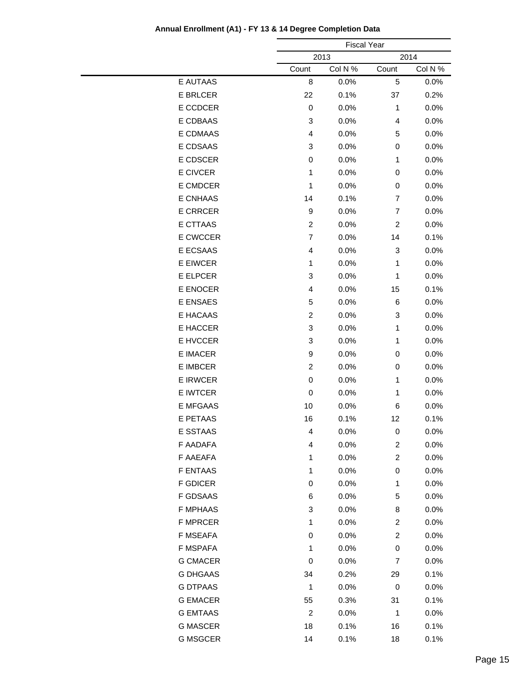|                 |                | <b>Fiscal Year</b> |                         |         |  |
|-----------------|----------------|--------------------|-------------------------|---------|--|
|                 |                | 2013<br>2014       |                         |         |  |
|                 | Count          | Col N %            | Count                   | Col N % |  |
| E AUTAAS        | 8              | 0.0%               | 5                       | 0.0%    |  |
| <b>E BRLCER</b> | 22             | 0.1%               | 37                      | 0.2%    |  |
| E CCDCER        | $\,0\,$        | 0.0%               | $\mathbf{1}$            | 0.0%    |  |
| E CDBAAS        | 3              | 0.0%               | 4                       | 0.0%    |  |
| <b>E CDMAAS</b> | 4              | 0.0%               | 5                       | 0.0%    |  |
| E CDSAAS        | 3              | 0.0%               | 0                       | 0.0%    |  |
| E CDSCER        | 0              | 0.0%               | 1                       | 0.0%    |  |
| <b>E CIVCER</b> | 1              | 0.0%               | 0                       | 0.0%    |  |
| E CMDCER        | 1              | 0.0%               | 0                       | 0.0%    |  |
| <b>E CNHAAS</b> | 14             | 0.1%               | 7                       | 0.0%    |  |
| <b>E CRRCER</b> | 9              | 0.0%               | $\overline{7}$          | 0.0%    |  |
| <b>E CTTAAS</b> | $\overline{c}$ | 0.0%               | $\overline{c}$          | 0.0%    |  |
| E CWCCER        | $\overline{7}$ | 0.0%               | 14                      | 0.1%    |  |
| E ECSAAS        | 4              | 0.0%               | 3                       | 0.0%    |  |
| E EIWCER        | 1              | 0.0%               | $\mathbf{1}$            | 0.0%    |  |
| E ELPCER        | 3              | 0.0%               | 1                       | 0.0%    |  |
| E ENOCER        | 4              | 0.0%               | 15                      | 0.1%    |  |
| <b>E ENSAES</b> | 5              | 0.0%               | 6                       | 0.0%    |  |
| E HACAAS        | $\overline{c}$ | 0.0%               | 3                       | 0.0%    |  |
| E HACCER        | 3              | 0.0%               | 1                       | 0.0%    |  |
| E HVCCER        | 3              | 0.0%               | $\mathbf{1}$            | 0.0%    |  |
| <b>E IMACER</b> | 9              | 0.0%               | 0                       | 0.0%    |  |
| <b>E IMBCER</b> | $\overline{c}$ | 0.0%               | 0                       | 0.0%    |  |
| <b>E IRWCER</b> | 0              | 0.0%               | 1                       | 0.0%    |  |
| E IWTCER        | $\,0\,$        | 0.0%               | $\mathbf{1}$            | 0.0%    |  |
| <b>E MFGAAS</b> | 10             | 0.0%               | 6                       | 0.0%    |  |
| E PETAAS        | 16             | 0.1%               | 12                      | 0.1%    |  |
| E SSTAAS        | 4              | 0.0%               | 0                       | $0.0\%$ |  |
| F AADAFA        | 4              | 0.0%               | $\overline{\mathbf{c}}$ | 0.0%    |  |
| F AAEAFA        | 1              | 0.0%               | $\overline{c}$          | 0.0%    |  |
| <b>F ENTAAS</b> | 1              | 0.0%               | 0                       | 0.0%    |  |
| <b>F GDICER</b> | 0              | 0.0%               | 1                       | 0.0%    |  |
| F GDSAAS        | 6              | 0.0%               | 5                       | 0.0%    |  |
| <b>F MPHAAS</b> | 3              | 0.0%               | 8                       | 0.0%    |  |
| <b>F MPRCER</b> | 1              | 0.0%               | $\overline{c}$          | 0.0%    |  |
| F MSEAFA        | 0              | 0.0%               | $\overline{c}$          | 0.0%    |  |
| F MSPAFA        | 1              | 0.0%               | $\boldsymbol{0}$        | 0.0%    |  |
| <b>G CMACER</b> | 0              | 0.0%               | 7                       | 0.0%    |  |
| <b>G DHGAAS</b> | 34             | 0.2%               | 29                      | 0.1%    |  |
| <b>G DTPAAS</b> | 1              | 0.0%               | 0                       | 0.0%    |  |
| <b>G EMACER</b> | 55             | 0.3%               | 31                      | 0.1%    |  |
| <b>G EMTAAS</b> | $\overline{c}$ | 0.0%               | 1                       | 0.0%    |  |
| <b>G MASCER</b> | 18             | 0.1%               | 16                      | 0.1%    |  |
| <b>G MSGCER</b> | 14             | 0.1%               | 18                      | 0.1%    |  |
|                 |                |                    |                         |         |  |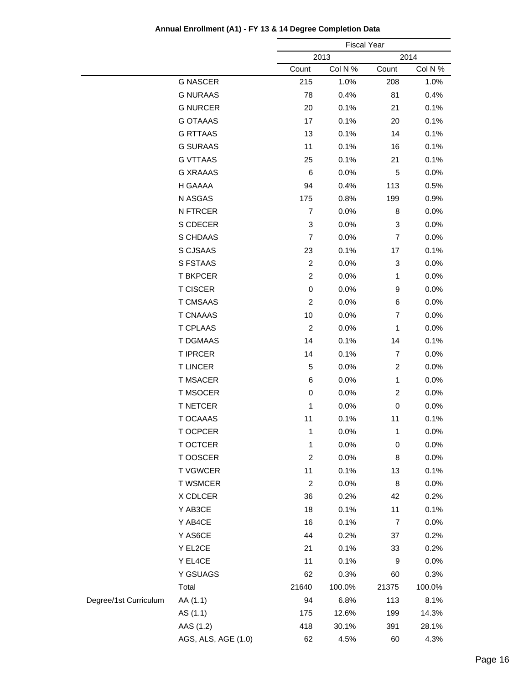|                       |                     | <b>Fiscal Year</b> |         |                |         |
|-----------------------|---------------------|--------------------|---------|----------------|---------|
|                       |                     | 2013<br>2014       |         |                |         |
|                       |                     | Count              | Col N % | Count          | Col N % |
|                       | <b>G NASCER</b>     | 215                | 1.0%    | 208            | 1.0%    |
|                       | <b>G NURAAS</b>     | 78                 | 0.4%    | 81             | 0.4%    |
|                       | <b>G NURCER</b>     | 20                 | 0.1%    | 21             | 0.1%    |
|                       | <b>G OTAAAS</b>     | 17                 | 0.1%    | 20             | 0.1%    |
|                       | <b>G RTTAAS</b>     | 13                 | 0.1%    | 14             | 0.1%    |
|                       | <b>G SURAAS</b>     | 11                 | 0.1%    | 16             | 0.1%    |
|                       | <b>G VTTAAS</b>     | 25                 | 0.1%    | 21             | 0.1%    |
|                       | <b>G XRAAAS</b>     | 6                  | 0.0%    | 5              | 0.0%    |
|                       | H GAAAA             | 94                 | 0.4%    | 113            | 0.5%    |
|                       | N ASGAS             | 175                | 0.8%    | 199            | 0.9%    |
|                       | N FTRCER            | $\overline{7}$     | 0.0%    | 8              | 0.0%    |
|                       | S CDECER            | 3                  | 0.0%    | 3              | 0.0%    |
|                       | S CHDAAS            | $\overline{7}$     | 0.0%    | $\overline{7}$ | 0.0%    |
|                       | S CJSAAS            | 23                 | 0.1%    | 17             | 0.1%    |
|                       | S FSTAAS            | $\overline{c}$     | 0.0%    | 3              | 0.0%    |
|                       | <b>T BKPCER</b>     | $\overline{c}$     | 0.0%    | 1              | 0.0%    |
|                       | <b>T CISCER</b>     | $\,0\,$            | 0.0%    | 9              | 0.0%    |
|                       | <b>T CMSAAS</b>     | $\overline{c}$     | 0.0%    | 6              | 0.0%    |
|                       | <b>T CNAAAS</b>     | 10                 | 0.0%    | $\overline{7}$ | 0.0%    |
|                       | <b>T CPLAAS</b>     | $\overline{c}$     | 0.0%    | 1              | 0.0%    |
|                       | <b>T DGMAAS</b>     | 14                 | 0.1%    | 14             | 0.1%    |
|                       | <b>T IPRCER</b>     | 14                 | 0.1%    | $\overline{7}$ | 0.0%    |
|                       | <b>TLINCER</b>      | 5                  | 0.0%    | $\overline{c}$ | 0.0%    |
|                       | <b>T MSACER</b>     | 6                  | 0.0%    | 1              | 0.0%    |
|                       | <b>T MSOCER</b>     | $\pmb{0}$          | 0.0%    | $\overline{c}$ | 0.0%    |
|                       | <b>T NETCER</b>     | 1                  | 0.0%    | $\pmb{0}$      | 0.0%    |
|                       | T OCAAAS            | 11                 | 0.1%    | 11             | 0.1%    |
|                       | T OCPCER            | 1                  | 0.0%    | 1              | 0.0%    |
|                       | T OCTCER            | 1                  | 0.0%    | $\pmb{0}$      | 0.0%    |
|                       | T OOSCER            | $\overline{c}$     | 0.0%    | 8              | 0.0%    |
|                       | <b>T VGWCER</b>     | 11                 | 0.1%    | 13             | 0.1%    |
|                       | <b>T WSMCER</b>     | $\overline{c}$     | 0.0%    | 8              | 0.0%    |
|                       | X CDLCER            | 36                 | 0.2%    | 42             | 0.2%    |
|                       | Y AB3CE             | 18                 | 0.1%    | 11             | 0.1%    |
|                       | Y AB4CE             | 16                 | 0.1%    | $\overline{7}$ | 0.0%    |
|                       | Y AS6CE             | 44                 | 0.2%    | 37             | 0.2%    |
|                       | Y EL2CE             | 21                 | 0.1%    | 33             | 0.2%    |
|                       | Y EL4CE             | 11                 | 0.1%    | 9              | 0.0%    |
|                       | Y GSUAGS            | 62                 | 0.3%    | 60             | 0.3%    |
|                       | Total               | 21640              | 100.0%  | 21375          | 100.0%  |
| Degree/1st Curriculum | AA (1.1)            | 94                 | 6.8%    | 113            | 8.1%    |
|                       | AS (1.1)            | 175                | 12.6%   | 199            | 14.3%   |
|                       | AAS (1.2)           | 418                | 30.1%   | 391            | 28.1%   |
|                       | AGS, ALS, AGE (1.0) | 62                 | 4.5%    | 60             | 4.3%    |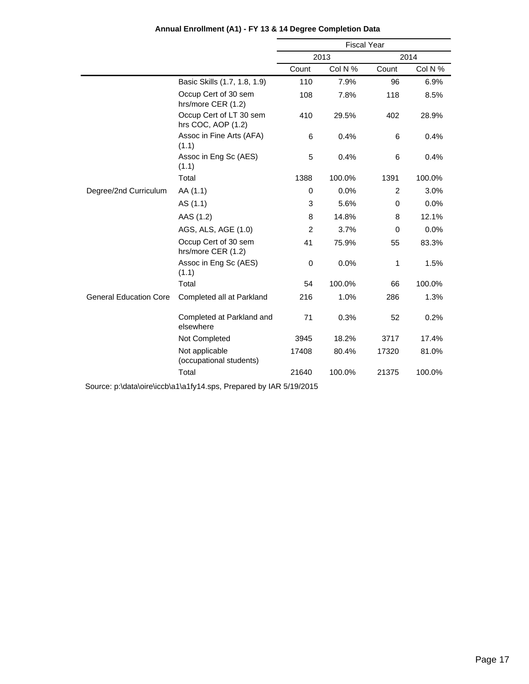|                               |                                               | <b>Fiscal Year</b> |         |                |         |
|-------------------------------|-----------------------------------------------|--------------------|---------|----------------|---------|
|                               |                                               |                    | 2013    |                | 2014    |
|                               |                                               | Count              | Col N % | Count          | Col N % |
|                               | Basic Skills (1.7, 1.8, 1.9)                  | 110                | 7.9%    | 96             | 6.9%    |
|                               | Occup Cert of 30 sem<br>hrs/more CER (1.2)    | 108                | 7.8%    | 118            | 8.5%    |
|                               | Occup Cert of LT 30 sem<br>hrs COC, AOP (1.2) | 410                | 29.5%   | 402            | 28.9%   |
|                               | Assoc in Fine Arts (AFA)<br>(1.1)             | 6                  | 0.4%    | 6              | 0.4%    |
|                               | Assoc in Eng Sc (AES)<br>(1.1)                | 5                  | 0.4%    | 6              | 0.4%    |
|                               | Total                                         | 1388               | 100.0%  | 1391           | 100.0%  |
| Degree/2nd Curriculum         | AA (1.1)                                      | $\mathbf 0$        | 0.0%    | $\overline{2}$ | 3.0%    |
|                               | AS (1.1)                                      | 3                  | 5.6%    | $\mathbf 0$    | 0.0%    |
|                               | AAS (1.2)                                     | 8                  | 14.8%   | 8              | 12.1%   |
|                               | AGS, ALS, AGE (1.0)                           | $\overline{c}$     | 3.7%    | 0              | 0.0%    |
|                               | Occup Cert of 30 sem<br>hrs/more CER (1.2)    | 41                 | 75.9%   | 55             | 83.3%   |
|                               | Assoc in Eng Sc (AES)<br>(1.1)                | $\mathbf 0$        | 0.0%    | 1              | 1.5%    |
|                               | Total                                         | 54                 | 100.0%  | 66             | 100.0%  |
| <b>General Education Core</b> | Completed all at Parkland                     | 216                | 1.0%    | 286            | 1.3%    |
|                               | Completed at Parkland and<br>elsewhere        | 71                 | 0.3%    | 52             | 0.2%    |
|                               | Not Completed                                 | 3945               | 18.2%   | 3717           | 17.4%   |
|                               | Not applicable<br>(occupational students)     | 17408              | 80.4%   | 17320          | 81.0%   |
|                               | Total                                         | 21640              | 100.0%  | 21375          | 100.0%  |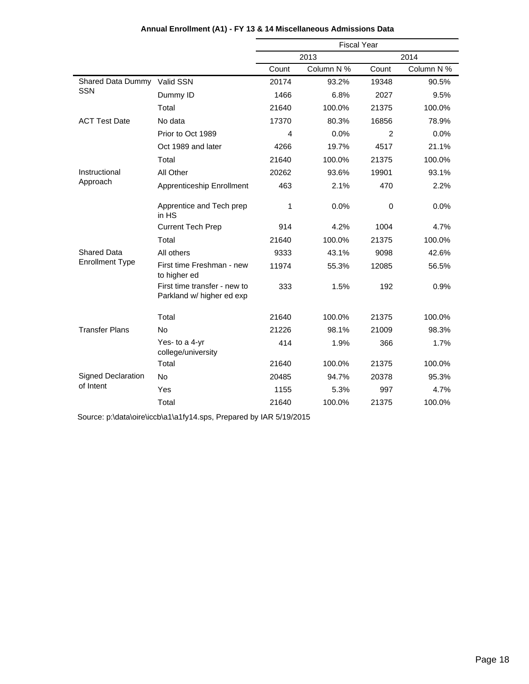|                           |                                                           | <b>Fiscal Year</b> |            |       |            |
|---------------------------|-----------------------------------------------------------|--------------------|------------|-------|------------|
|                           |                                                           |                    | 2013       |       | 2014       |
|                           |                                                           | Count              | Column N % | Count | Column N % |
| Shared Data Dummy         | Valid SSN                                                 | 20174              | 93.2%      | 19348 | 90.5%      |
| <b>SSN</b>                | Dummy ID                                                  | 1466               | 6.8%       | 2027  | 9.5%       |
|                           | Total                                                     | 21640              | 100.0%     | 21375 | 100.0%     |
| <b>ACT Test Date</b>      | No data                                                   | 17370              | 80.3%      | 16856 | 78.9%      |
|                           | Prior to Oct 1989                                         | 4                  | 0.0%       | 2     | 0.0%       |
|                           | Oct 1989 and later                                        | 4266               | 19.7%      | 4517  | 21.1%      |
|                           | Total                                                     | 21640              | 100.0%     | 21375 | 100.0%     |
| Instructional             | All Other                                                 | 20262              | 93.6%      | 19901 | 93.1%      |
| Approach                  | Apprenticeship Enrollment                                 | 463                | 2.1%       | 470   | 2.2%       |
|                           | Apprentice and Tech prep<br>in HS                         | 1                  | 0.0%       | 0     | 0.0%       |
|                           | <b>Current Tech Prep</b>                                  | 914                | 4.2%       | 1004  | 4.7%       |
|                           | Total                                                     | 21640              | 100.0%     | 21375 | 100.0%     |
| <b>Shared Data</b>        | All others                                                | 9333               | 43.1%      | 9098  | 42.6%      |
| <b>Enrollment Type</b>    | First time Freshman - new<br>to higher ed                 | 11974              | 55.3%      | 12085 | 56.5%      |
|                           | First time transfer - new to<br>Parkland w/ higher ed exp | 333                | 1.5%       | 192   | 0.9%       |
|                           | Total                                                     | 21640              | 100.0%     | 21375 | 100.0%     |
| <b>Transfer Plans</b>     | <b>No</b>                                                 | 21226              | 98.1%      | 21009 | 98.3%      |
|                           | Yes- to a 4-yr<br>college/university                      | 414                | 1.9%       | 366   | 1.7%       |
|                           | Total                                                     | 21640              | 100.0%     | 21375 | 100.0%     |
| <b>Signed Declaration</b> | <b>No</b>                                                 | 20485              | 94.7%      | 20378 | 95.3%      |
| of Intent                 | Yes                                                       | 1155               | 5.3%       | 997   | 4.7%       |
|                           | Total                                                     | 21640              | 100.0%     | 21375 | 100.0%     |

#### **Annual Enrollment (A1) - FY 13 & 14 Miscellaneous Admissions Data**

Source: p:\data\oire\iccb\a1\a1fy14.sps, Prepared by IAR 5/19/2015

l,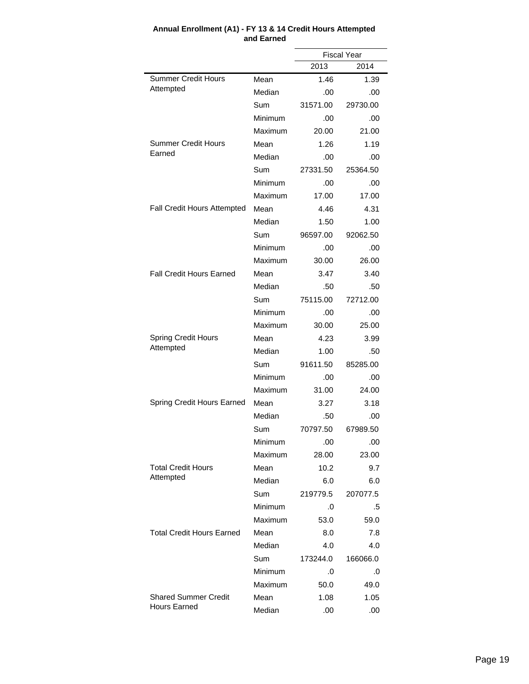|                                  |                                                                         |          | <b>Fiscal Year</b> |
|----------------------------------|-------------------------------------------------------------------------|----------|--------------------|
|                                  |                                                                         | 2013     | 2014               |
| <b>Summer Credit Hours</b>       | Mean                                                                    | 1.46     | 1.39               |
| Attempted                        | Median                                                                  | .00      | .00                |
|                                  | Sum                                                                     | 31571.00 | 29730.00           |
|                                  | Minimum                                                                 | .00      | .00                |
|                                  | Maximum                                                                 | 20.00    | 21.00              |
| <b>Summer Credit Hours</b>       | Mean                                                                    | 1.26     | 1.19               |
| Earned                           | Median                                                                  | .00      | .00                |
|                                  | Sum                                                                     | 27331.50 | 25364.50           |
|                                  | Minimum                                                                 | .00      | .00                |
|                                  | Maximum                                                                 | 17.00    | 17.00              |
| Fall Credit Hours Attempted      | Mean                                                                    | 4.46     | 4.31               |
|                                  | Median                                                                  | 1.50     | 1.00               |
|                                  | Sum                                                                     | 96597.00 | 92062.50           |
|                                  | Minimum                                                                 | .00      | .00                |
|                                  | Maximum                                                                 | 30.00    | 26.00              |
| <b>Fall Credit Hours Earned</b>  | Mean                                                                    | 3.47     | 3.40               |
|                                  | Median                                                                  | .50      | .50                |
|                                  | Sum                                                                     | 75115.00 | 72712.00           |
|                                  | Minimum                                                                 | .00      | .00                |
|                                  | Maximum                                                                 | 30.00    | 25.00              |
| <b>Spring Credit Hours</b>       | Mean                                                                    | 4.23     | 3.99               |
| Attempted                        | Median<br>1.00<br>Sum<br>91611.50<br>Minimum<br>.00<br>Maximum<br>31.00 | .50      |                    |
|                                  |                                                                         |          | 85285.00           |
|                                  |                                                                         |          | .00                |
|                                  |                                                                         |          | 24.00              |
| Spring Credit Hours Earned       | Mean                                                                    | 3.27     | 3.18               |
|                                  | Median                                                                  | .50      | .00                |
|                                  | Sum                                                                     | 70797.50 | 67989.50           |
|                                  | Minimum                                                                 | .00      | .00                |
|                                  | Maximum                                                                 | 28.00    | 23.00              |
| <b>Total Credit Hours</b>        | Mean                                                                    | 10.2     | 9.7                |
| Attempted                        | Median                                                                  | 6.0      | 6.0                |
|                                  | Sum                                                                     | 219779.5 | 207077.5           |
|                                  | Minimum                                                                 | .0       | .5                 |
|                                  | Maximum                                                                 | 53.0     | 59.0               |
| <b>Total Credit Hours Earned</b> | Mean                                                                    | 8.0      | 7.8                |
|                                  | Median                                                                  | 4.0      | 4.0                |
|                                  | Sum                                                                     | 173244.0 | 166066.0           |
|                                  | Minimum                                                                 | .0       | .0                 |
|                                  | Maximum                                                                 | 50.0     | 49.0               |
| <b>Shared Summer Credit</b>      | Mean                                                                    | 1.08     | 1.05               |
| <b>Hours Earned</b>              | Median                                                                  | .00      | .00                |

#### **Annual Enrollment (A1) - FY 13 & 14 Credit Hours Attempted and Earned**